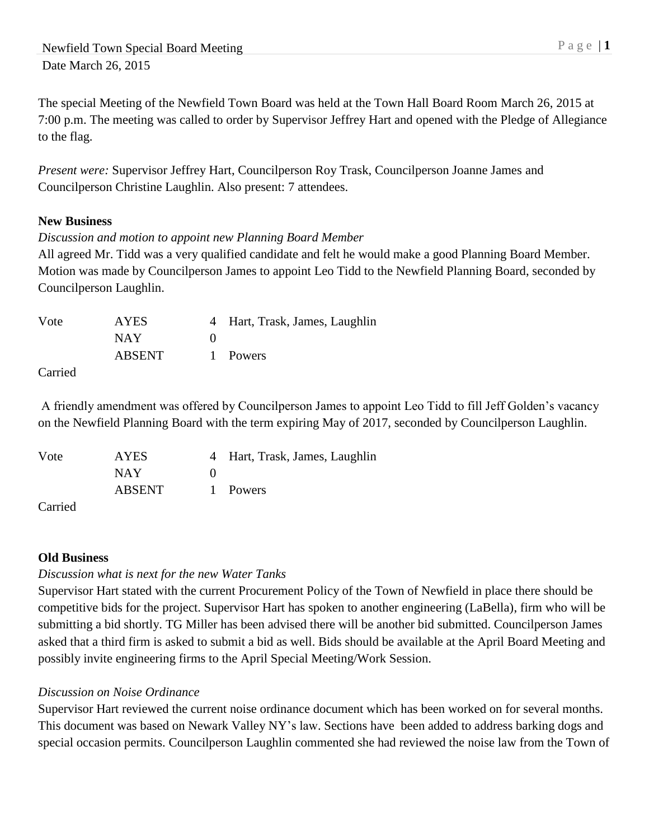The special Meeting of the Newfield Town Board was held at the Town Hall Board Room March 26, 2015 at 7:00 p.m. The meeting was called to order by Supervisor Jeffrey Hart and opened with the Pledge of Allegiance to the flag.

*Present were:* Supervisor Jeffrey Hart, Councilperson Roy Trask, Councilperson Joanne James and Councilperson Christine Laughlin. Also present: 7 attendees.

## **New Business**

## *Discussion and motion to appoint new Planning Board Member*

All agreed Mr. Tidd was a very qualified candidate and felt he would make a good Planning Board Member. Motion was made by Councilperson James to appoint Leo Tidd to the Newfield Planning Board, seconded by Councilperson Laughlin.

| Vote    | <b>AYES</b>   | 4 Hart, Trask, James, Laughlin |
|---------|---------------|--------------------------------|
|         | NAY           |                                |
|         | <b>ABSENT</b> | 1 Powers                       |
| Carried |               |                                |

A friendly amendment was offered by Councilperson James to appoint Leo Tidd to fill Jeff Golden's vacancy on the Newfield Planning Board with the term expiring May of 2017, seconded by Councilperson Laughlin.

| Vote | <b>AYES</b>   | 4 Hart, Trask, James, Laughlin |
|------|---------------|--------------------------------|
|      | NAY           |                                |
|      | <b>ABSENT</b> | 1 Powers                       |
|      |               |                                |

Carried

# **Old Business**

# *Discussion what is next for the new Water Tanks*

Supervisor Hart stated with the current Procurement Policy of the Town of Newfield in place there should be competitive bids for the project. Supervisor Hart has spoken to another engineering (LaBella), firm who will be submitting a bid shortly. TG Miller has been advised there will be another bid submitted. Councilperson James asked that a third firm is asked to submit a bid as well. Bids should be available at the April Board Meeting and possibly invite engineering firms to the April Special Meeting/Work Session.

### *Discussion on Noise Ordinance*

Supervisor Hart reviewed the current noise ordinance document which has been worked on for several months. This document was based on Newark Valley NY's law. Sections have been added to address barking dogs and special occasion permits. Councilperson Laughlin commented she had reviewed the noise law from the Town of